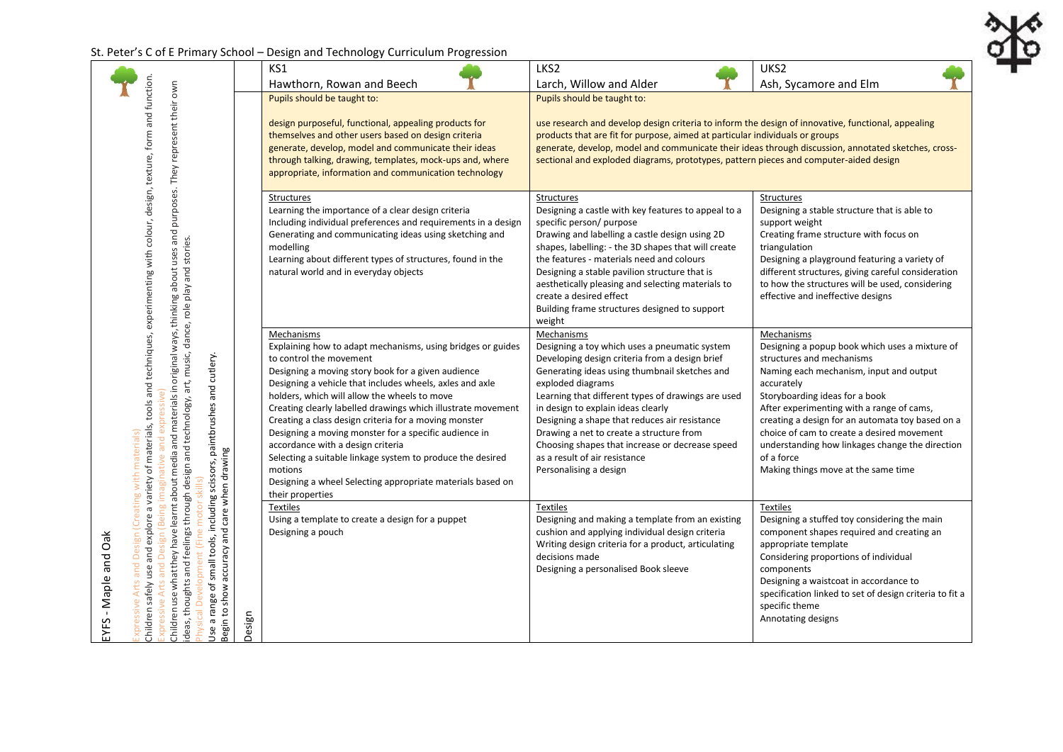## St. Peter's C of E Primary School – Design and Technology Curriculum Progression

EYFS - Maple and Oak

EYFS - Maple and Oak

.<br>"I

|                                                                                                                                                                                                                                                                                                                                                                                                                              |        | KS1                                                                                                                                                                                                                                                                                                                                                                                                                                                                                                                                                                                                                                                      | LKS2                                                                                                                                                                                                                                                                                                                                                                                                                                                                                       | UKS2                                                                                                                                                                                                                                                                                                                                                                                                                                        |
|------------------------------------------------------------------------------------------------------------------------------------------------------------------------------------------------------------------------------------------------------------------------------------------------------------------------------------------------------------------------------------------------------------------------------|--------|----------------------------------------------------------------------------------------------------------------------------------------------------------------------------------------------------------------------------------------------------------------------------------------------------------------------------------------------------------------------------------------------------------------------------------------------------------------------------------------------------------------------------------------------------------------------------------------------------------------------------------------------------------|--------------------------------------------------------------------------------------------------------------------------------------------------------------------------------------------------------------------------------------------------------------------------------------------------------------------------------------------------------------------------------------------------------------------------------------------------------------------------------------------|---------------------------------------------------------------------------------------------------------------------------------------------------------------------------------------------------------------------------------------------------------------------------------------------------------------------------------------------------------------------------------------------------------------------------------------------|
|                                                                                                                                                                                                                                                                                                                                                                                                                              |        | Hawthorn, Rowan and Beech                                                                                                                                                                                                                                                                                                                                                                                                                                                                                                                                                                                                                                | Larch, Willow and Alder                                                                                                                                                                                                                                                                                                                                                                                                                                                                    | Ash, Sycamore and Elm                                                                                                                                                                                                                                                                                                                                                                                                                       |
| purposes. They represent their own                                                                                                                                                                                                                                                                                                                                                                                           |        | Pupils should be taught to:<br>design purposeful, functional, appealing products for<br>themselves and other users based on design criteria<br>generate, develop, model and communicate their ideas<br>through talking, drawing, templates, mock-ups and, where<br>appropriate, information and communication technology                                                                                                                                                                                                                                                                                                                                 | Pupils should be taught to:<br>use research and develop design criteria to inform the design of innovative, functional, appealing<br>products that are fit for purpose, aimed at particular individuals or groups<br>generate, develop, model and communicate their ideas through discussion, annotated sketches, cross-<br>sectional and exploded diagrams, prototypes, pattern pieces and computer-aided design                                                                          |                                                                                                                                                                                                                                                                                                                                                                                                                                             |
|                                                                                                                                                                                                                                                                                                                                                                                                                              |        | <b>Structures</b><br>Learning the importance of a clear design criteria<br>Including individual preferences and requirements in a design<br>Generating and communicating ideas using sketching and<br>modelling<br>Learning about different types of structures, found in the<br>natural world and in everyday objects                                                                                                                                                                                                                                                                                                                                   | <b>Structures</b><br>Designing a castle with key features to appeal to a<br>specific person/ purpose<br>Drawing and labelling a castle design using 2D<br>shapes, labelling: - the 3D shapes that will create<br>the features - materials need and colours<br>Designing a stable pavilion structure that is<br>aesthetically pleasing and selecting materials to<br>create a desired effect<br>Building frame structures designed to support<br>weight                                     | Structures<br>Designing a stable structure that is able to<br>support weight<br>Creating frame structure with focus on<br>triangulation<br>Designing a playground featuring a variety of<br>different structures, giving careful consideration<br>to how the structures will be used, considering<br>effective and ineffective designs                                                                                                      |
| Children safely use and explore a variety of materials, tools and techniques, experimenting with colour, design, texture, form and function.<br>Children use what they have learnt about media and materials in original ways, thinking about uses and<br>deas, thoughts and feelings through design and technology, art, music, dance, role play and stories.<br>small tools, including scissors, paintbrushes and cutlery. |        | Mechanisms<br>Explaining how to adapt mechanisms, using bridges or guides<br>to control the movement<br>Designing a moving story book for a given audience<br>Designing a vehicle that includes wheels, axles and axle<br>holders, which will allow the wheels to move<br>Creating clearly labelled drawings which illustrate movement<br>Creating a class design criteria for a moving monster<br>Designing a moving monster for a specific audience in<br>accordance with a design criteria<br>Selecting a suitable linkage system to produce the desired<br>motions<br>Designing a wheel Selecting appropriate materials based on<br>their properties | Mechanisms<br>Designing a toy which uses a pneumatic system<br>Developing design criteria from a design brief<br>Generating ideas using thumbnail sketches and<br>exploded diagrams<br>Learning that different types of drawings are used<br>in design to explain ideas clearly<br>Designing a shape that reduces air resistance<br>Drawing a net to create a structure from<br>Choosing shapes that increase or decrease speed<br>as a result of air resistance<br>Personalising a design | Mechanisms<br>Designing a popup book which uses a mixture of<br>structures and mechanisms<br>Naming each mechanism, input and output<br>accurately<br>Storyboarding ideas for a book<br>After experimenting with a range of cams,<br>creating a design for an automata toy based on a<br>choice of cam to create a desired movement<br>understanding how linkages change the direction<br>of a force<br>Making things move at the same time |
| Expressive Arts and Design (Creating with materials)<br>Use a range of small tools, including scissors, pa<br>Begin to show accuracy and care when drawing                                                                                                                                                                                                                                                                   | Design | <b>Textiles</b><br>Using a template to create a design for a puppet<br>Designing a pouch                                                                                                                                                                                                                                                                                                                                                                                                                                                                                                                                                                 | <b>Textiles</b><br>Designing and making a template from an existing<br>cushion and applying individual design criteria<br>Writing design criteria for a product, articulating<br>decisions made<br>Designing a personalised Book sleeve                                                                                                                                                                                                                                                    | <b>Textiles</b><br>Designing a stuffed toy considering the main<br>component shapes required and creating an<br>appropriate template<br>Considering proportions of individual<br>components<br>Designing a waistcoat in accordance to<br>specification linked to set of design criteria to fit a<br>specific theme<br>Annotating designs                                                                                                    |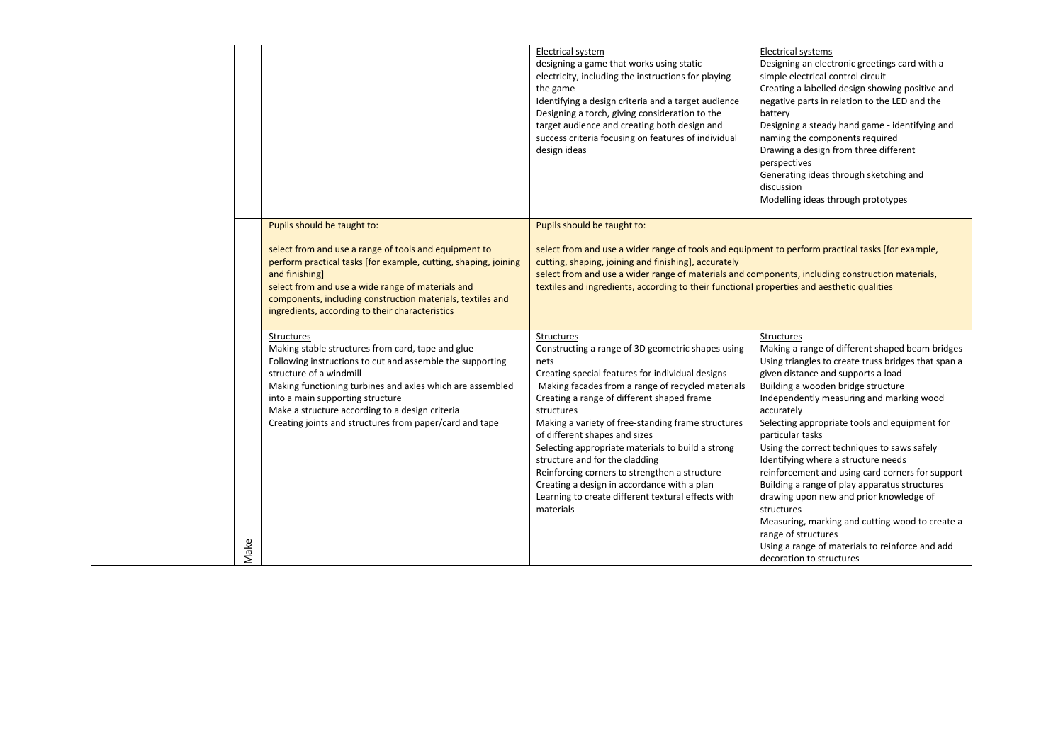|      |                                                                                                                                                                                                                                                                                                                                                                        | Electrical system<br>designing a game that works using static<br>electricity, including the instructions for playing<br>the game<br>Identifying a design criteria and a target audience<br>Designing a torch, giving consideration to the<br>target audience and creating both design and<br>success criteria focusing on features of individual<br>design ideas                                                                                                                                                                                                                                     | Electrical systems<br>Designing an electronic greetings card with a<br>simple electrical control circuit<br>Creating a labelled design showing positive and<br>negative parts in relation to the LED and the<br>battery<br>Designing a steady hand game - identifying and<br>naming the components required<br>Drawing a design from three different<br>perspectives<br>Generating ideas through sketching and<br>discussion<br>Modelling ideas through prototypes                                                                                                                                                                                                                                                                                  |
|------|------------------------------------------------------------------------------------------------------------------------------------------------------------------------------------------------------------------------------------------------------------------------------------------------------------------------------------------------------------------------|------------------------------------------------------------------------------------------------------------------------------------------------------------------------------------------------------------------------------------------------------------------------------------------------------------------------------------------------------------------------------------------------------------------------------------------------------------------------------------------------------------------------------------------------------------------------------------------------------|-----------------------------------------------------------------------------------------------------------------------------------------------------------------------------------------------------------------------------------------------------------------------------------------------------------------------------------------------------------------------------------------------------------------------------------------------------------------------------------------------------------------------------------------------------------------------------------------------------------------------------------------------------------------------------------------------------------------------------------------------------|
|      | Pupils should be taught to:<br>select from and use a range of tools and equipment to<br>perform practical tasks [for example, cutting, shaping, joining<br>and finishing]<br>select from and use a wide range of materials and<br>components, including construction materials, textiles and<br>ingredients, according to their characteristics                        | Pupils should be taught to:<br>select from and use a wider range of tools and equipment to perform practical tasks [for example,<br>cutting, shaping, joining and finishing], accurately<br>select from and use a wider range of materials and components, including construction materials,<br>textiles and ingredients, according to their functional properties and aesthetic qualities                                                                                                                                                                                                           |                                                                                                                                                                                                                                                                                                                                                                                                                                                                                                                                                                                                                                                                                                                                                     |
| Make | Structures<br>Making stable structures from card, tape and glue<br>Following instructions to cut and assemble the supporting<br>structure of a windmill<br>Making functioning turbines and axles which are assembled<br>into a main supporting structure<br>Make a structure according to a design criteria<br>Creating joints and structures from paper/card and tape | <b>Structures</b><br>Constructing a range of 3D geometric shapes using<br>nets<br>Creating special features for individual designs<br>Making facades from a range of recycled materials<br>Creating a range of different shaped frame<br>structures<br>Making a variety of free-standing frame structures<br>of different shapes and sizes<br>Selecting appropriate materials to build a strong<br>structure and for the cladding<br>Reinforcing corners to strengthen a structure<br>Creating a design in accordance with a plan<br>Learning to create different textural effects with<br>materials | <b>Structures</b><br>Making a range of different shaped beam bridges<br>Using triangles to create truss bridges that span a<br>given distance and supports a load<br>Building a wooden bridge structure<br>Independently measuring and marking wood<br>accurately<br>Selecting appropriate tools and equipment for<br>particular tasks<br>Using the correct techniques to saws safely<br>Identifying where a structure needs<br>reinforcement and using card corners for support<br>Building a range of play apparatus structures<br>drawing upon new and prior knowledge of<br>structures<br>Measuring, marking and cutting wood to create a<br>range of structures<br>Using a range of materials to reinforce and add<br>decoration to structures |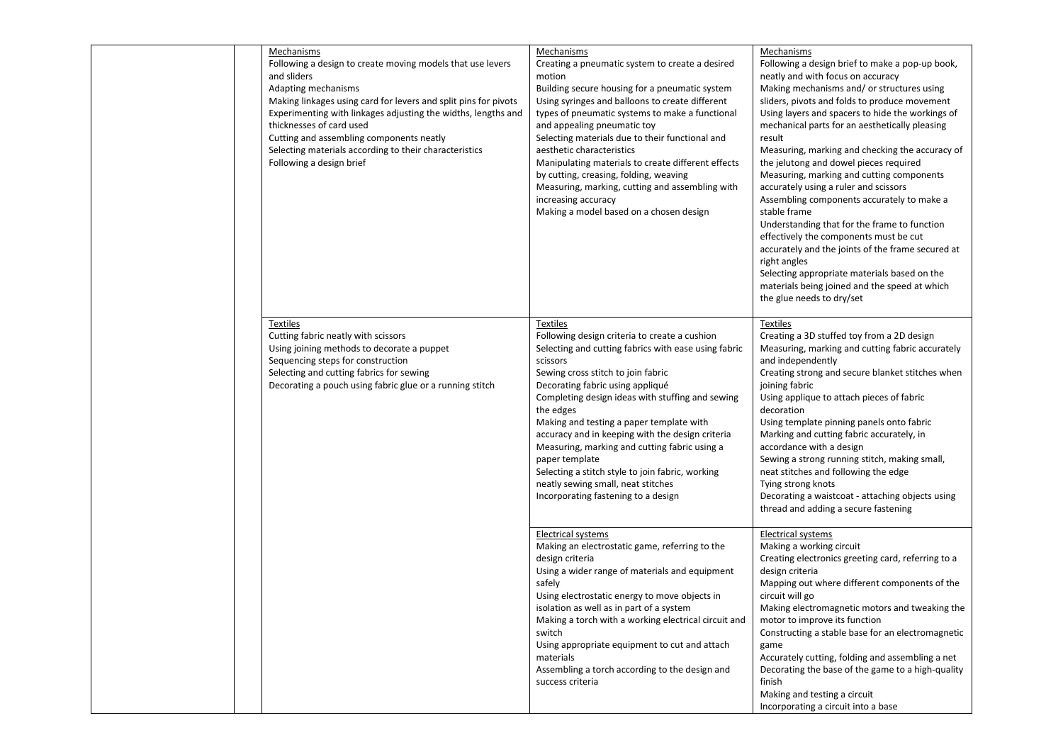| Mechanisms<br>Following a design to create moving models that use levers<br>and sliders<br>Adapting mechanisms<br>Making linkages using card for levers and split pins for pivots<br>Experimenting with linkages adjusting the widths, lengths and<br>thicknesses of card used<br>Cutting and assembling components neatly<br>Selecting materials according to their characteristics<br>Following a design brief | Mechanisms<br>Creating a pneumatic system to create a desired<br>motion<br>Building secure housing for a pneumatic system<br>Using syringes and balloons to create different<br>types of pneumatic systems to make a functional<br>and appealing pneumatic toy<br>Selecting materials due to their functional and<br>aesthetic characteristics<br>Manipulating materials to create different effects<br>by cutting, creasing, folding, weaving<br>Measuring, marking, cutting and assembling with<br>increasing accuracy<br>Making a model based on a chosen design          | Mechanisms<br>Following a design brief to make a pop-up book,<br>neatly and with focus on accuracy<br>Making mechanisms and/or structures using<br>sliders, pivots and folds to produce movement<br>Using layers and spacers to hide the workings of<br>mechanical parts for an aesthetically pleasing<br>result<br>Measuring, marking and checking the accuracy of<br>the jelutong and dowel pieces required<br>Measuring, marking and cutting components<br>accurately using a ruler and scissors<br>Assembling components accurately to make a<br>stable frame<br>Understanding that for the frame to function<br>effectively the components must be cut<br>accurately and the joints of the frame secured at<br>right angles<br>Selecting appropriate materials based on the<br>materials being joined and the speed at which<br>the glue needs to dry/set |
|------------------------------------------------------------------------------------------------------------------------------------------------------------------------------------------------------------------------------------------------------------------------------------------------------------------------------------------------------------------------------------------------------------------|------------------------------------------------------------------------------------------------------------------------------------------------------------------------------------------------------------------------------------------------------------------------------------------------------------------------------------------------------------------------------------------------------------------------------------------------------------------------------------------------------------------------------------------------------------------------------|----------------------------------------------------------------------------------------------------------------------------------------------------------------------------------------------------------------------------------------------------------------------------------------------------------------------------------------------------------------------------------------------------------------------------------------------------------------------------------------------------------------------------------------------------------------------------------------------------------------------------------------------------------------------------------------------------------------------------------------------------------------------------------------------------------------------------------------------------------------|
| <b>Textiles</b><br>Cutting fabric neatly with scissors<br>Using joining methods to decorate a puppet<br>Sequencing steps for construction<br>Selecting and cutting fabrics for sewing<br>Decorating a pouch using fabric glue or a running stitch                                                                                                                                                                | Textiles<br>Following design criteria to create a cushion<br>Selecting and cutting fabrics with ease using fabric<br>scissors<br>Sewing cross stitch to join fabric<br>Decorating fabric using appliqué<br>Completing design ideas with stuffing and sewing<br>the edges<br>Making and testing a paper template with<br>accuracy and in keeping with the design criteria<br>Measuring, marking and cutting fabric using a<br>paper template<br>Selecting a stitch style to join fabric, working<br>neatly sewing small, neat stitches<br>Incorporating fastening to a design | Textiles<br>Creating a 3D stuffed toy from a 2D design<br>Measuring, marking and cutting fabric accurately<br>and independently<br>Creating strong and secure blanket stitches when<br>joining fabric<br>Using applique to attach pieces of fabric<br>decoration<br>Using template pinning panels onto fabric<br>Marking and cutting fabric accurately, in<br>accordance with a design<br>Sewing a strong running stitch, making small,<br>neat stitches and following the edge<br>Tying strong knots<br>Decorating a waistcoat - attaching objects using<br>thread and adding a secure fastening                                                                                                                                                                                                                                                              |
|                                                                                                                                                                                                                                                                                                                                                                                                                  | Electrical systems<br>Making an electrostatic game, referring to the<br>design criteria<br>Using a wider range of materials and equipment<br>safely<br>Using electrostatic energy to move objects in<br>isolation as well as in part of a system<br>Making a torch with a working electrical circuit and<br>switch<br>Using appropriate equipment to cut and attach<br>materials<br>Assembling a torch according to the design and<br>success criteria                                                                                                                       | <b>Electrical systems</b><br>Making a working circuit<br>Creating electronics greeting card, referring to a<br>design criteria<br>Mapping out where different components of the<br>circuit will go<br>Making electromagnetic motors and tweaking the<br>motor to improve its function<br>Constructing a stable base for an electromagnetic<br>game<br>Accurately cutting, folding and assembling a net<br>Decorating the base of the game to a high-quality<br>finish<br>Making and testing a circuit<br>Incorporating a circuit into a base                                                                                                                                                                                                                                                                                                                   |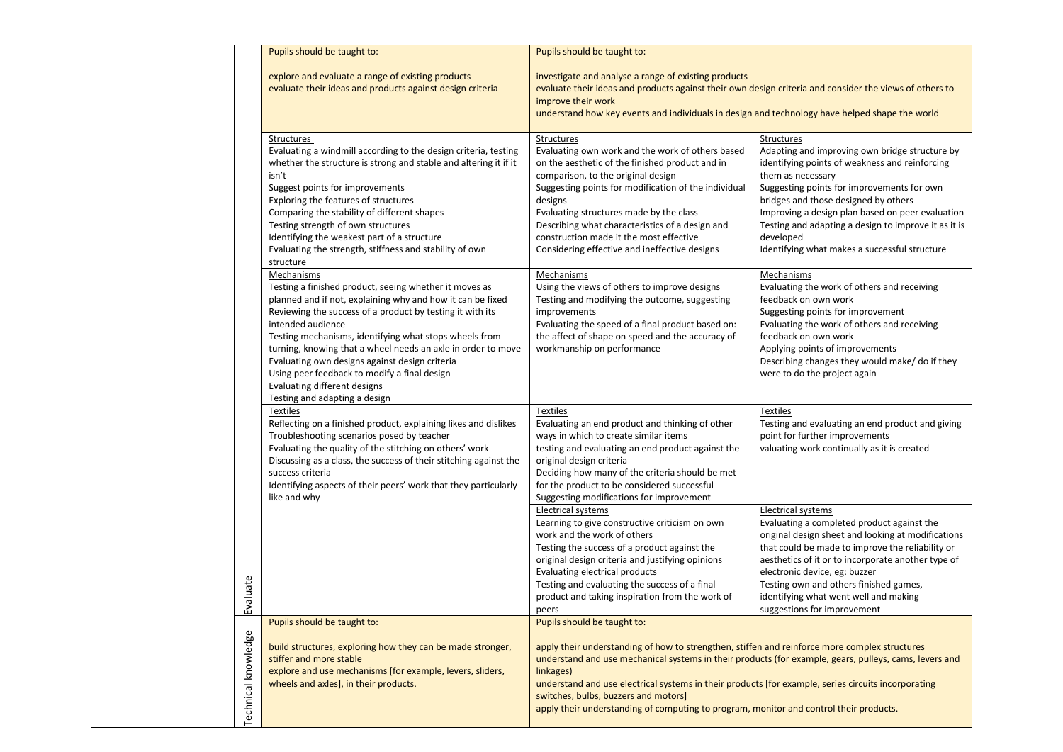|  |                     | Pupils should be taught to:                                                                                                                                                                                                                                                                                                                                                                                                                                                                                       | Pupils should be taught to:                                                                                                                                                                                                                                                                                                                                                                                                                                                                  |                                                                                                                                                                                                                                                                                                                                                                                                     |
|--|---------------------|-------------------------------------------------------------------------------------------------------------------------------------------------------------------------------------------------------------------------------------------------------------------------------------------------------------------------------------------------------------------------------------------------------------------------------------------------------------------------------------------------------------------|----------------------------------------------------------------------------------------------------------------------------------------------------------------------------------------------------------------------------------------------------------------------------------------------------------------------------------------------------------------------------------------------------------------------------------------------------------------------------------------------|-----------------------------------------------------------------------------------------------------------------------------------------------------------------------------------------------------------------------------------------------------------------------------------------------------------------------------------------------------------------------------------------------------|
|  |                     | explore and evaluate a range of existing products<br>evaluate their ideas and products against design criteria                                                                                                                                                                                                                                                                                                                                                                                                    | investigate and analyse a range of existing products<br>evaluate their ideas and products against their own design criteria and consider the views of others to<br>improve their work<br>understand how key events and individuals in design and technology have helped shape the world                                                                                                                                                                                                      |                                                                                                                                                                                                                                                                                                                                                                                                     |
|  |                     | Structures<br>Evaluating a windmill according to the design criteria, testing<br>whether the structure is strong and stable and altering it if it<br>isn't<br>Suggest points for improvements<br>Exploring the features of structures<br>Comparing the stability of different shapes<br>Testing strength of own structures<br>Identifying the weakest part of a structure<br>Evaluating the strength, stiffness and stability of own<br>structure                                                                 | Structures<br>Evaluating own work and the work of others based<br>on the aesthetic of the finished product and in<br>comparison, to the original design<br>Suggesting points for modification of the individual<br>designs<br>Evaluating structures made by the class<br>Describing what characteristics of a design and<br>construction made it the most effective<br>Considering effective and ineffective designs                                                                         | Structures<br>Adapting and improving own bridge structure by<br>identifying points of weakness and reinforcing<br>them as necessary<br>Suggesting points for improvements for own<br>bridges and those designed by others<br>Improving a design plan based on peer evaluation<br>Testing and adapting a design to improve it as it is<br>developed<br>Identifying what makes a successful structure |
|  |                     | Mechanisms<br>Testing a finished product, seeing whether it moves as<br>planned and if not, explaining why and how it can be fixed<br>Reviewing the success of a product by testing it with its<br>intended audience<br>Testing mechanisms, identifying what stops wheels from<br>turning, knowing that a wheel needs an axle in order to move<br>Evaluating own designs against design criteria<br>Using peer feedback to modify a final design<br>Evaluating different designs<br>Testing and adapting a design | Mechanisms<br>Using the views of others to improve designs<br>Testing and modifying the outcome, suggesting<br>improvements<br>Evaluating the speed of a final product based on:<br>the affect of shape on speed and the accuracy of<br>workmanship on performance                                                                                                                                                                                                                           | Mechanisms<br>Evaluating the work of others and receiving<br>feedback on own work<br>Suggesting points for improvement<br>Evaluating the work of others and receiving<br>feedback on own work<br>Applying points of improvements<br>Describing changes they would make/ do if they<br>were to do the project again                                                                                  |
|  |                     | <b>Textiles</b><br>Reflecting on a finished product, explaining likes and dislikes<br>Troubleshooting scenarios posed by teacher<br>Evaluating the quality of the stitching on others' work<br>Discussing as a class, the success of their stitching against the<br>success criteria<br>Identifying aspects of their peers' work that they particularly<br>like and why                                                                                                                                           | <b>Textiles</b><br>Evaluating an end product and thinking of other<br>ways in which to create similar items<br>testing and evaluating an end product against the<br>original design criteria<br>Deciding how many of the criteria should be met<br>for the product to be considered successful<br>Suggesting modifications for improvement                                                                                                                                                   | Textiles<br>Testing and evaluating an end product and giving<br>point for further improvements<br>valuating work continually as it is created                                                                                                                                                                                                                                                       |
|  | valuate<br>ш        |                                                                                                                                                                                                                                                                                                                                                                                                                                                                                                                   | Electrical systems<br>Learning to give constructive criticism on own<br>work and the work of others<br>Testing the success of a product against the<br>original design criteria and justifying opinions<br>Evaluating electrical products<br>Testing and evaluating the success of a final<br>product and taking inspiration from the work of<br>peers                                                                                                                                       | Electrical systems<br>Evaluating a completed product against the<br>original design sheet and looking at modifications<br>that could be made to improve the reliability or<br>aesthetics of it or to incorporate another type of<br>electronic device, eg: buzzer<br>Testing own and others finished games,<br>identifying what went well and making<br>suggestions for improvement                 |
|  | Technical knowledge | Pupils should be taught to:<br>build structures, exploring how they can be made stronger,<br>stiffer and more stable<br>explore and use mechanisms [for example, levers, sliders,<br>wheels and axles], in their products.                                                                                                                                                                                                                                                                                        | Pupils should be taught to:<br>apply their understanding of how to strengthen, stiffen and reinforce more complex structures<br>understand and use mechanical systems in their products (for example, gears, pulleys, cams, levers and<br>linkages)<br>understand and use electrical systems in their products [for example, series circuits incorporating<br>switches, bulbs, buzzers and motors]<br>apply their understanding of computing to program, monitor and control their products. |                                                                                                                                                                                                                                                                                                                                                                                                     |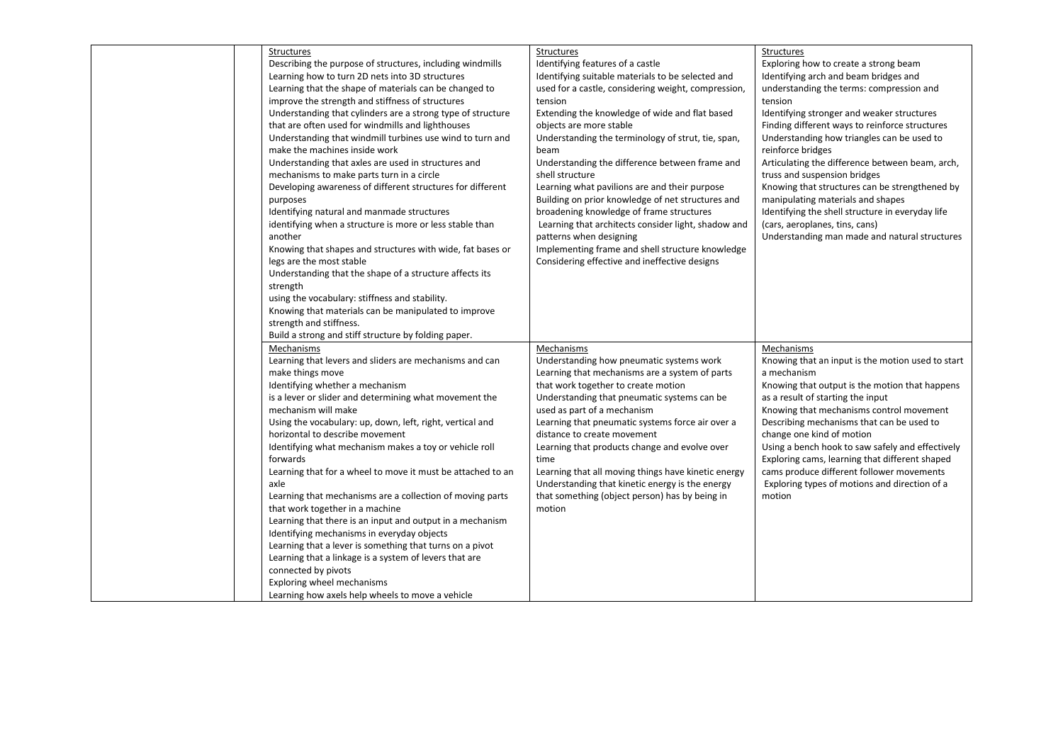| Structures                                                  | Structures                                          | Structures                                                                                         |
|-------------------------------------------------------------|-----------------------------------------------------|----------------------------------------------------------------------------------------------------|
| Describing the purpose of structures, including windmills   | Identifying features of a castle                    | Exploring how to create a strong beam                                                              |
| Learning how to turn 2D nets into 3D structures             | Identifying suitable materials to be selected and   | Identifying arch and beam bridges and                                                              |
|                                                             |                                                     |                                                                                                    |
| Learning that the shape of materials can be changed to      | used for a castle, considering weight, compression, | understanding the terms: compression and                                                           |
| improve the strength and stiffness of structures            | tension                                             | tension                                                                                            |
| Understanding that cylinders are a strong type of structure | Extending the knowledge of wide and flat based      | Identifying stronger and weaker structures                                                         |
| that are often used for windmills and lighthouses           | objects are more stable                             | Finding different ways to reinforce structures                                                     |
| Understanding that windmill turbines use wind to turn and   | Understanding the terminology of strut, tie, span,  | Understanding how triangles can be used to                                                         |
| make the machines inside work                               | beam                                                | reinforce bridges                                                                                  |
| Understanding that axles are used in structures and         | Understanding the difference between frame and      | Articulating the difference between beam, arch,                                                    |
| mechanisms to make parts turn in a circle                   | shell structure                                     | truss and suspension bridges                                                                       |
| Developing awareness of different structures for different  | Learning what pavilions are and their purpose       | Knowing that structures can be strengthened by                                                     |
| purposes                                                    | Building on prior knowledge of net structures and   | manipulating materials and shapes                                                                  |
| Identifying natural and manmade structures                  | broadening knowledge of frame structures            | Identifying the shell structure in everyday life                                                   |
| identifying when a structure is more or less stable than    | Learning that architects consider light, shadow and | (cars, aeroplanes, tins, cans)                                                                     |
| another                                                     | patterns when designing                             | Understanding man made and natural structures                                                      |
| Knowing that shapes and structures with wide, fat bases or  | Implementing frame and shell structure knowledge    |                                                                                                    |
| legs are the most stable                                    | Considering effective and ineffective designs       |                                                                                                    |
| Understanding that the shape of a structure affects its     |                                                     |                                                                                                    |
| strength                                                    |                                                     |                                                                                                    |
| using the vocabulary: stiffness and stability.              |                                                     |                                                                                                    |
| Knowing that materials can be manipulated to improve        |                                                     |                                                                                                    |
| strength and stiffness.                                     |                                                     |                                                                                                    |
| Build a strong and stiff structure by folding paper.        |                                                     |                                                                                                    |
| Mechanisms                                                  | Mechanisms                                          | Mechanisms                                                                                         |
|                                                             |                                                     |                                                                                                    |
| Learning that levers and sliders are mechanisms and can     | Understanding how pneumatic systems work            | Knowing that an input is the motion used to start                                                  |
| make things move                                            | Learning that mechanisms are a system of parts      | a mechanism                                                                                        |
| Identifying whether a mechanism                             | that work together to create motion                 | Knowing that output is the motion that happens                                                     |
| is a lever or slider and determining what movement the      | Understanding that pneumatic systems can be         | as a result of starting the input                                                                  |
| mechanism will make                                         | used as part of a mechanism                         | Knowing that mechanisms control movement                                                           |
| Using the vocabulary: up, down, left, right, vertical and   | Learning that pneumatic systems force air over a    | Describing mechanisms that can be used to                                                          |
| horizontal to describe movement                             | distance to create movement                         | change one kind of motion                                                                          |
|                                                             | Learning that products change and evolve over       |                                                                                                    |
| forwards                                                    | time                                                |                                                                                                    |
| Learning that for a wheel to move it must be attached to an | Learning that all moving things have kinetic energy | cams produce different follower movements                                                          |
| axle                                                        | Understanding that kinetic energy is the energy     | Exploring types of motions and direction of a                                                      |
| Learning that mechanisms are a collection of moving parts   | that something (object person) has by being in      | motion                                                                                             |
| that work together in a machine                             | motion                                              |                                                                                                    |
| Learning that there is an input and output in a mechanism   |                                                     |                                                                                                    |
| Identifying mechanisms in everyday objects                  |                                                     |                                                                                                    |
| Learning that a lever is something that turns on a pivot    |                                                     |                                                                                                    |
| Learning that a linkage is a system of levers that are      |                                                     |                                                                                                    |
|                                                             |                                                     |                                                                                                    |
|                                                             |                                                     |                                                                                                    |
| connected by pivots<br>Exploring wheel mechanisms           |                                                     |                                                                                                    |
| Identifying what mechanism makes a toy or vehicle roll      |                                                     | Using a bench hook to saw safely and effectively<br>Exploring cams, learning that different shaped |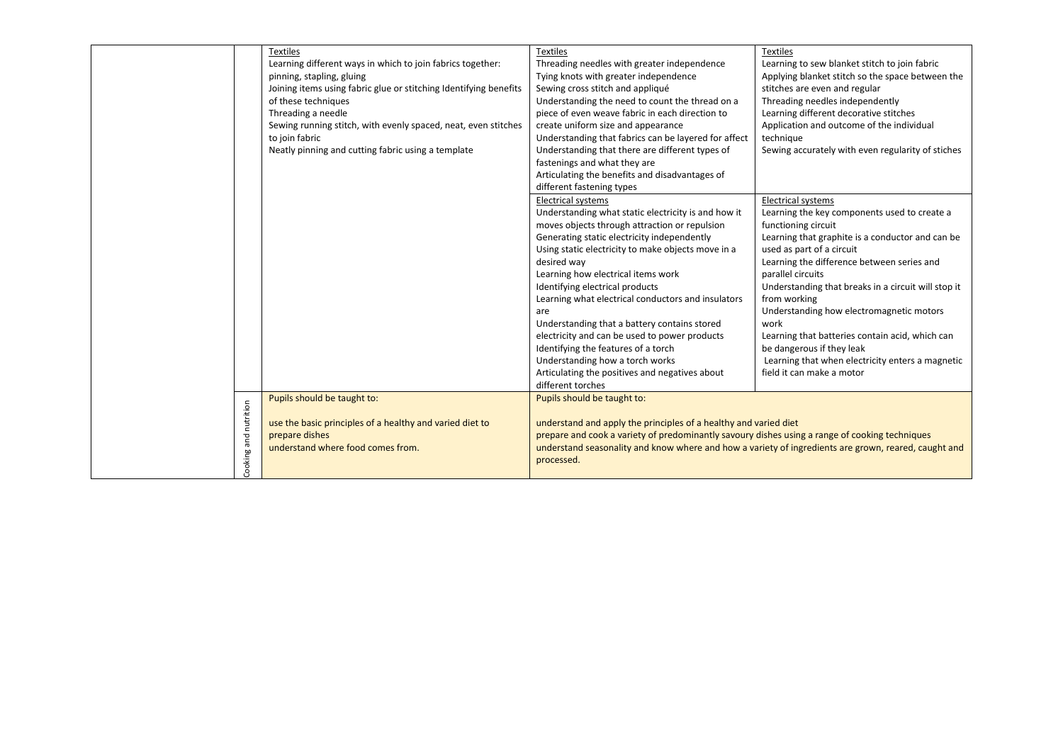|  |                       | <b>Textiles</b><br>Learning different ways in which to join fabrics together:<br>pinning, stapling, gluing<br>Joining items using fabric glue or stitching Identifying benefits<br>of these techniques<br>Threading a needle<br>Sewing running stitch, with evenly spaced, neat, even stitches<br>to join fabric<br>Neatly pinning and cutting fabric using a template | <b>Textiles</b><br>Threading needles with greater independence<br>Tying knots with greater independence<br>Sewing cross stitch and appliqué<br>Understanding the need to count the thread on a<br>piece of even weave fabric in each direction to<br>create uniform size and appearance<br>Understanding that fabrics can be layered for affect<br>Understanding that there are different types of<br>fastenings and what they are<br>Articulating the benefits and disadvantages of<br>different fastening types<br><b>Electrical systems</b>                                                                   | Learning to sew blanket stitch to join fabric<br>Applying blanket stitch so the space between the<br>stitches are even and regular<br>Threading needles independently<br>Learning different decorative stitches<br>Application and outcome of the individual<br>technique<br>Sewing accurately with even regularity of stiches<br><b>Electrical systems</b>                                                                                                                                                         |
|--|-----------------------|------------------------------------------------------------------------------------------------------------------------------------------------------------------------------------------------------------------------------------------------------------------------------------------------------------------------------------------------------------------------|------------------------------------------------------------------------------------------------------------------------------------------------------------------------------------------------------------------------------------------------------------------------------------------------------------------------------------------------------------------------------------------------------------------------------------------------------------------------------------------------------------------------------------------------------------------------------------------------------------------|---------------------------------------------------------------------------------------------------------------------------------------------------------------------------------------------------------------------------------------------------------------------------------------------------------------------------------------------------------------------------------------------------------------------------------------------------------------------------------------------------------------------|
|  |                       |                                                                                                                                                                                                                                                                                                                                                                        | Understanding what static electricity is and how it<br>moves objects through attraction or repulsion<br>Generating static electricity independently<br>Using static electricity to make objects move in a<br>desired way<br>Learning how electrical items work<br>Identifying electrical products<br>Learning what electrical conductors and insulators<br>are<br>Understanding that a battery contains stored<br>electricity and can be used to power products<br>Identifying the features of a torch<br>Understanding how a torch works<br>Articulating the positives and negatives about<br>different torches | Learning the key components used to create a<br>functioning circuit<br>Learning that graphite is a conductor and can be<br>used as part of a circuit<br>Learning the difference between series and<br>parallel circuits<br>Understanding that breaks in a circuit will stop it<br>from working<br>Understanding how electromagnetic motors<br>work<br>Learning that batteries contain acid, which can<br>be dangerous if they leak<br>Learning that when electricity enters a magnetic<br>field it can make a motor |
|  | Cooking and nutrition | Pupils should be taught to:<br>use the basic principles of a healthy and varied diet to<br>prepare dishes<br>understand where food comes from.                                                                                                                                                                                                                         | Pupils should be taught to:<br>understand and apply the principles of a healthy and varied diet<br>prepare and cook a variety of predominantly savoury dishes using a range of cooking techniques<br>understand seasonality and know where and how a variety of ingredients are grown, reared, caught and<br>processed.                                                                                                                                                                                                                                                                                          |                                                                                                                                                                                                                                                                                                                                                                                                                                                                                                                     |